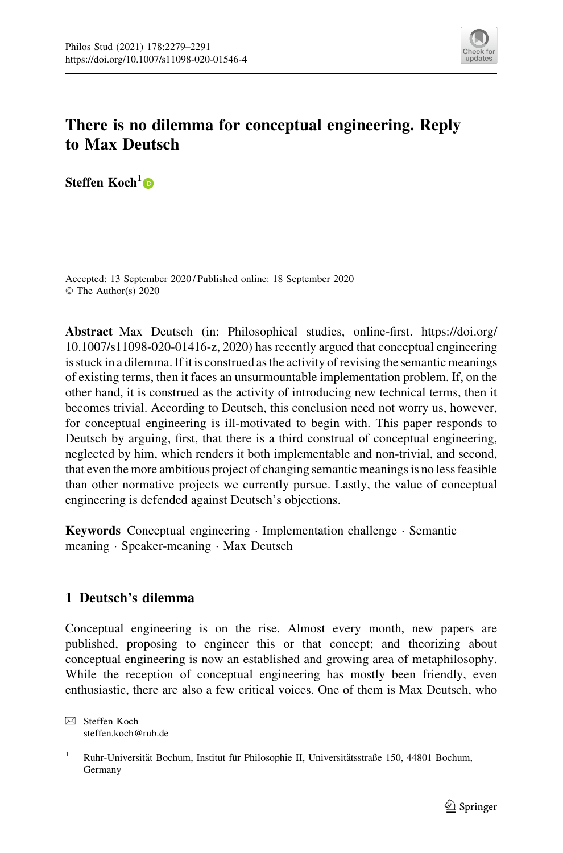

# There is no dilemma for conceptual engineering. Reply to Max Deutsch

Steffen Koch<sup>1</sup>O

Accepted: 13 September 2020 / Published online: 18 September 2020 © The Author(s) 2020

Abstract Max Deutsch (in: Philosophical studies, online-first. https://doi.org/ 10.1007/s11098-020-01416-z, 2020) has recently argued that conceptual engineering is stuck in a dilemma. If it is construed as the activity of revising the semantic meanings of existing terms, then it faces an unsurmountable implementation problem. If, on the other hand, it is construed as the activity of introducing new technical terms, then it becomes trivial. According to Deutsch, this conclusion need not worry us, however, for conceptual engineering is ill-motivated to begin with. This paper responds to Deutsch by arguing, first, that there is a third construal of conceptual engineering, neglected by him, which renders it both implementable and non-trivial, and second, that even the more ambitious project of changing semantic meanings is no less feasible than other normative projects we currently pursue. Lastly, the value of conceptual engineering is defended against Deutsch's objections.

Keywords Conceptual engineering - Implementation challenge - Semantic meaning - Speaker-meaning - Max Deutsch

## 1 Deutsch's dilemma

Conceptual engineering is on the rise. Almost every month, new papers are published, proposing to engineer this or that concept; and theorizing about conceptual engineering is now an established and growing area of metaphilosophy. While the reception of conceptual engineering has mostly been friendly, even enthusiastic, there are also a few critical voices. One of them is Max Deutsch, who

 $\boxtimes$  Steffen Koch steffen.koch@rub.de

Ruhr-Universität Bochum, Institut für Philosophie II, Universitätsstraße 150, 44801 Bochum, Germany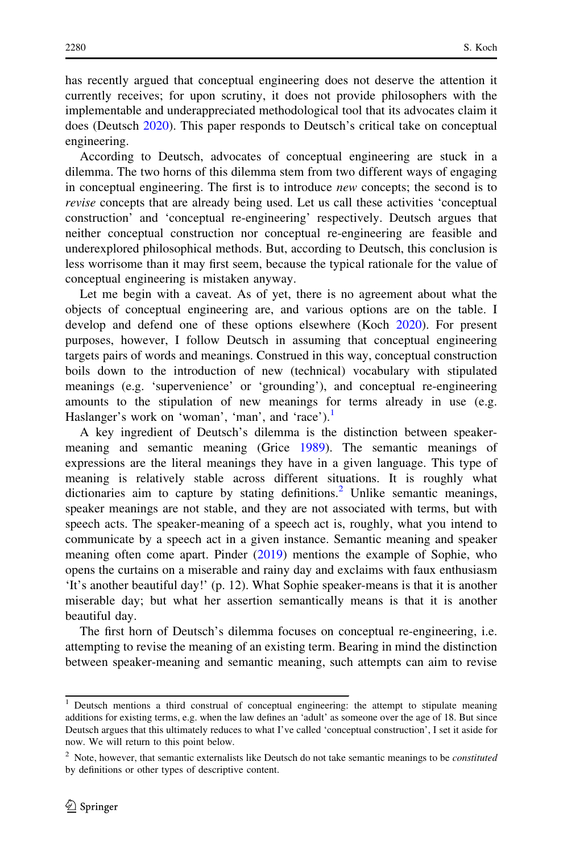has recently argued that conceptual engineering does not deserve the attention it currently receives; for upon scrutiny, it does not provide philosophers with the implementable and underappreciated methodological tool that its advocates claim it does (Deutsch [2020\)](#page-12-0). This paper responds to Deutsch's critical take on conceptual engineering.

According to Deutsch, advocates of conceptual engineering are stuck in a dilemma. The two horns of this dilemma stem from two different ways of engaging in conceptual engineering. The first is to introduce new concepts; the second is to revise concepts that are already being used. Let us call these activities 'conceptual construction' and 'conceptual re-engineering' respectively. Deutsch argues that neither conceptual construction nor conceptual re-engineering are feasible and underexplored philosophical methods. But, according to Deutsch, this conclusion is less worrisome than it may first seem, because the typical rationale for the value of conceptual engineering is mistaken anyway.

Let me begin with a caveat. As of yet, there is no agreement about what the objects of conceptual engineering are, and various options are on the table. I develop and defend one of these options elsewhere (Koch [2020](#page-12-0)). For present purposes, however, I follow Deutsch in assuming that conceptual engineering targets pairs of words and meanings. Construed in this way, conceptual construction boils down to the introduction of new (technical) vocabulary with stipulated meanings (e.g. 'supervenience' or 'grounding'), and conceptual re-engineering amounts to the stipulation of new meanings for terms already in use (e.g. Haslanger's work on 'woman', 'man', and 'race').

A key ingredient of Deutsch's dilemma is the distinction between speakermeaning and semantic meaning (Grice [1989\)](#page-12-0). The semantic meanings of expressions are the literal meanings they have in a given language. This type of meaning is relatively stable across different situations. It is roughly what dictionaries aim to capture by stating definitions.<sup>2</sup> Unlike semantic meanings, speaker meanings are not stable, and they are not associated with terms, but with speech acts. The speaker-meaning of a speech act is, roughly, what you intend to communicate by a speech act in a given instance. Semantic meaning and speaker meaning often come apart. Pinder ([2019\)](#page-12-0) mentions the example of Sophie, who opens the curtains on a miserable and rainy day and exclaims with faux enthusiasm 'It's another beautiful day!' (p. 12). What Sophie speaker-means is that it is another miserable day; but what her assertion semantically means is that it is another beautiful day.

The first horn of Deutsch's dilemma focuses on conceptual re-engineering, i.e. attempting to revise the meaning of an existing term. Bearing in mind the distinction between speaker-meaning and semantic meaning, such attempts can aim to revise

<sup>&</sup>lt;sup>1</sup> Deutsch mentions a third construal of conceptual engineering: the attempt to stipulate meaning additions for existing terms, e.g. when the law defines an 'adult' as someone over the age of 18. But since Deutsch argues that this ultimately reduces to what I've called 'conceptual construction', I set it aside for now. We will return to this point below.

 $2$  Note, however, that semantic externalists like Deutsch do not take semantic meanings to be *constituted* by definitions or other types of descriptive content.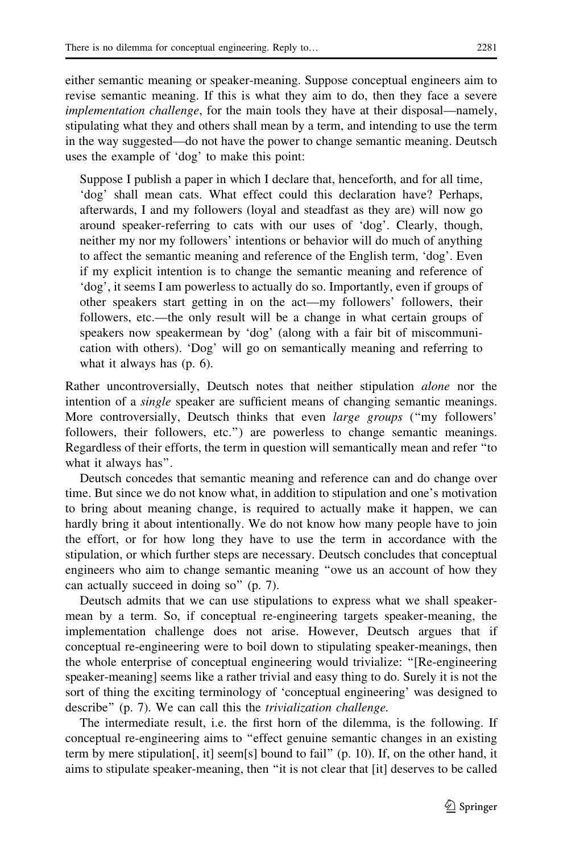either semantic meaning or speaker-meaning. Suppose conceptual engineers aim to revise semantic meaning. If this is what they aim to do, then they face a severe implementation challenge, for the main tools they have at their disposal—namely, stipulating what they and others shall mean by a term, and intending to use the term in the way suggested—do not have the power to change semantic meaning. Deutsch uses the example of 'dog' to make this point:

Suppose I publish a paper in which I declare that, henceforth, and for all time, 'dog' shall mean cats. What effect could this declaration have? Perhaps, afterwards, I and my followers (loyal and steadfast as they are) will now go around speaker-referring to cats with our uses of 'dog'. Clearly, though, neither my nor my followers' intentions or behavior will do much of anything to affect the semantic meaning and reference of the English term, 'dog'. Even if my explicit intention is to change the semantic meaning and reference of 'dog', it seems I am powerless to actually do so. Importantly, even if groups of other speakers start getting in on the act—my followers' followers, their followers, etc.—the only result will be a change in what certain groups of speakers now speakermean by 'dog' (along with a fair bit of miscommunication with others). 'Dog' will go on semantically meaning and referring to what it always has (p. 6).

Rather uncontroversially, Deutsch notes that neither stipulation *alone* nor the intention of a *single* speaker are sufficient means of changing semantic meanings. More controversially, Deutsch thinks that even large groups ("my followers' followers, their followers, etc.") are powerless to change semantic meanings. Regardless of their efforts, the term in question will semantically mean and refer ''to what it always has''.

Deutsch concedes that semantic meaning and reference can and do change over time. But since we do not know what, in addition to stipulation and one's motivation to bring about meaning change, is required to actually make it happen, we can hardly bring it about intentionally. We do not know how many people have to join the effort, or for how long they have to use the term in accordance with the stipulation, or which further steps are necessary. Deutsch concludes that conceptual engineers who aim to change semantic meaning ''owe us an account of how they can actually succeed in doing so'' (p. 7).

Deutsch admits that we can use stipulations to express what we shall speakermean by a term. So, if conceptual re-engineering targets speaker-meaning, the implementation challenge does not arise. However, Deutsch argues that if conceptual re-engineering were to boil down to stipulating speaker-meanings, then the whole enterprise of conceptual engineering would trivialize: ''[Re-engineering speaker-meaning] seems like a rather trivial and easy thing to do. Surely it is not the sort of thing the exciting terminology of 'conceptual engineering' was designed to describe" (p. 7). We can call this the *trivialization challenge*.

The intermediate result, i.e. the first horn of the dilemma, is the following. If conceptual re-engineering aims to ''effect genuine semantic changes in an existing term by mere stipulation[, it] seem[s] bound to fail'' (p. 10). If, on the other hand, it aims to stipulate speaker-meaning, then ''it is not clear that [it] deserves to be called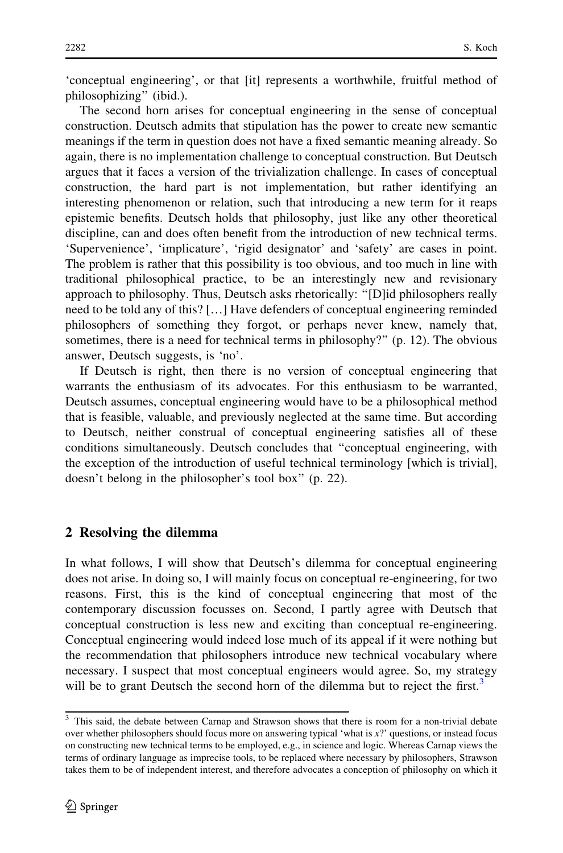'conceptual engineering', or that [it] represents a worthwhile, fruitful method of philosophizing'' (ibid.).

The second horn arises for conceptual engineering in the sense of conceptual construction. Deutsch admits that stipulation has the power to create new semantic meanings if the term in question does not have a fixed semantic meaning already. So again, there is no implementation challenge to conceptual construction. But Deutsch argues that it faces a version of the trivialization challenge. In cases of conceptual construction, the hard part is not implementation, but rather identifying an interesting phenomenon or relation, such that introducing a new term for it reaps epistemic benefits. Deutsch holds that philosophy, just like any other theoretical discipline, can and does often benefit from the introduction of new technical terms. 'Supervenience', 'implicature', 'rigid designator' and 'safety' are cases in point. The problem is rather that this possibility is too obvious, and too much in line with traditional philosophical practice, to be an interestingly new and revisionary approach to philosophy. Thus, Deutsch asks rhetorically: ''[D]id philosophers really need to be told any of this? […] Have defenders of conceptual engineering reminded philosophers of something they forgot, or perhaps never knew, namely that, sometimes, there is a need for technical terms in philosophy?'' (p. 12). The obvious answer, Deutsch suggests, is 'no'.

If Deutsch is right, then there is no version of conceptual engineering that warrants the enthusiasm of its advocates. For this enthusiasm to be warranted, Deutsch assumes, conceptual engineering would have to be a philosophical method that is feasible, valuable, and previously neglected at the same time. But according to Deutsch, neither construal of conceptual engineering satisfies all of these conditions simultaneously. Deutsch concludes that ''conceptual engineering, with the exception of the introduction of useful technical terminology [which is trivial], doesn't belong in the philosopher's tool box'' (p. 22).

#### 2 Resolving the dilemma

In what follows, I will show that Deutsch's dilemma for conceptual engineering does not arise. In doing so, I will mainly focus on conceptual re-engineering, for two reasons. First, this is the kind of conceptual engineering that most of the contemporary discussion focusses on. Second, I partly agree with Deutsch that conceptual construction is less new and exciting than conceptual re-engineering. Conceptual engineering would indeed lose much of its appeal if it were nothing but the recommendation that philosophers introduce new technical vocabulary where necessary. I suspect that most conceptual engineers would agree. So, my strategy will be to grant Deutsch the second horn of the dilemma but to reject the first.<sup>3</sup>

<sup>&</sup>lt;sup>3</sup> This said, the debate between Carnap and Strawson shows that there is room for a non-trivial debate over whether philosophers should focus more on answering typical 'what is x?' questions, or instead focus on constructing new technical terms to be employed, e.g., in science and logic. Whereas Carnap views the terms of ordinary language as imprecise tools, to be replaced where necessary by philosophers, Strawson takes them to be of independent interest, and therefore advocates a conception of philosophy on which it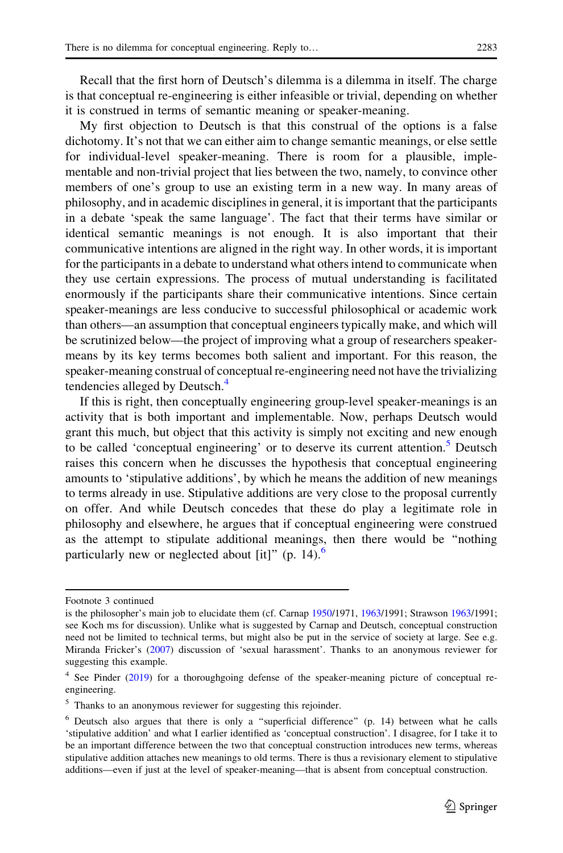Recall that the first horn of Deutsch's dilemma is a dilemma in itself. The charge is that conceptual re-engineering is either infeasible or trivial, depending on whether it is construed in terms of semantic meaning or speaker-meaning.

My first objection to Deutsch is that this construal of the options is a false dichotomy. It's not that we can either aim to change semantic meanings, or else settle for individual-level speaker-meaning. There is room for a plausible, implementable and non-trivial project that lies between the two, namely, to convince other members of one's group to use an existing term in a new way. In many areas of philosophy, and in academic disciplines in general, it is important that the participants in a debate 'speak the same language'. The fact that their terms have similar or identical semantic meanings is not enough. It is also important that their communicative intentions are aligned in the right way. In other words, it is important for the participants in a debate to understand what others intend to communicate when they use certain expressions. The process of mutual understanding is facilitated enormously if the participants share their communicative intentions. Since certain speaker-meanings are less conducive to successful philosophical or academic work than others—an assumption that conceptual engineers typically make, and which will be scrutinized below—the project of improving what a group of researchers speakermeans by its key terms becomes both salient and important. For this reason, the speaker-meaning construal of conceptual re-engineering need not have the trivializing tendencies alleged by Deutsch.<sup>4</sup>

If this is right, then conceptually engineering group-level speaker-meanings is an activity that is both important and implementable. Now, perhaps Deutsch would grant this much, but object that this activity is simply not exciting and new enough to be called 'conceptual engineering' or to deserve its current attention.<sup>5</sup> Deutsch raises this concern when he discusses the hypothesis that conceptual engineering amounts to 'stipulative additions', by which he means the addition of new meanings to terms already in use. Stipulative additions are very close to the proposal currently on offer. And while Deutsch concedes that these do play a legitimate role in philosophy and elsewhere, he argues that if conceptual engineering were construed as the attempt to stipulate additional meanings, then there would be ''nothing particularly new or neglected about [it]" (p. 14).<sup>6</sup>

Footnote 3 continued

is the philosopher's main job to elucidate them (cf. Carnap [1950](#page-11-0)/1971, [1963/](#page-11-0)1991; Strawson [1963/](#page-12-0)1991; see Koch ms for discussion). Unlike what is suggested by Carnap and Deutsch, conceptual construction need not be limited to technical terms, but might also be put in the service of society at large. See e.g. Miranda Fricker's [\(2007](#page-12-0)) discussion of 'sexual harassment'. Thanks to an anonymous reviewer for suggesting this example.

<sup>4</sup> See Pinder ([2019](#page-12-0)) for a thoroughgoing defense of the speaker-meaning picture of conceptual reengineering.

<sup>5</sup> Thanks to an anonymous reviewer for suggesting this rejoinder.

<sup>6</sup> Deutsch also argues that there is only a ''superficial difference'' (p. 14) between what he calls 'stipulative addition' and what I earlier identified as 'conceptual construction'. I disagree, for I take it to be an important difference between the two that conceptual construction introduces new terms, whereas stipulative addition attaches new meanings to old terms. There is thus a revisionary element to stipulative additions—even if just at the level of speaker-meaning—that is absent from conceptual construction.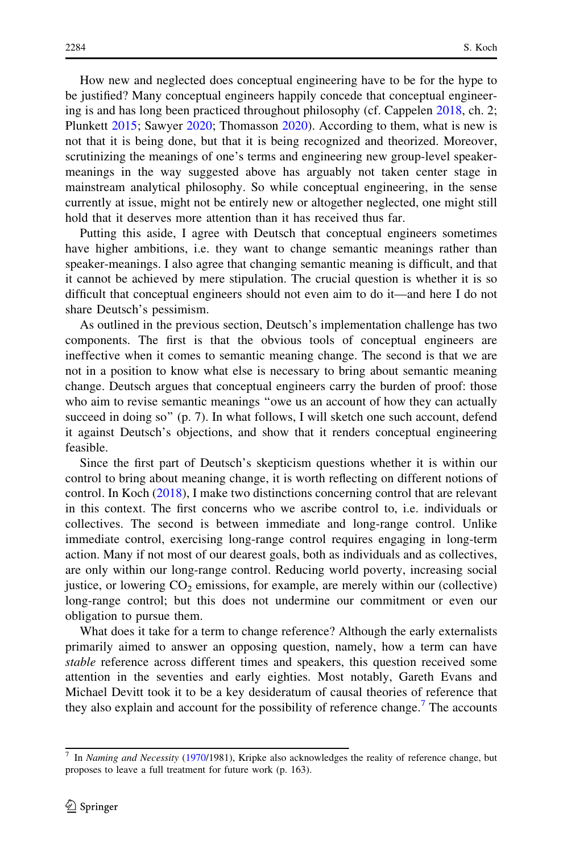How new and neglected does conceptual engineering have to be for the hype to be justified? Many conceptual engineers happily concede that conceptual engineering is and has long been practiced throughout philosophy (cf. Cappelen [2018,](#page-11-0) ch. 2; Plunkett [2015](#page-12-0); Sawyer [2020;](#page-12-0) Thomasson [2020](#page-12-0)). According to them, what is new is not that it is being done, but that it is being recognized and theorized. Moreover, scrutinizing the meanings of one's terms and engineering new group-level speakermeanings in the way suggested above has arguably not taken center stage in mainstream analytical philosophy. So while conceptual engineering, in the sense currently at issue, might not be entirely new or altogether neglected, one might still hold that it deserves more attention than it has received thus far.

Putting this aside, I agree with Deutsch that conceptual engineers sometimes have higher ambitions, i.e. they want to change semantic meanings rather than speaker-meanings. I also agree that changing semantic meaning is difficult, and that it cannot be achieved by mere stipulation. The crucial question is whether it is so difficult that conceptual engineers should not even aim to do it—and here I do not share Deutsch's pessimism.

As outlined in the previous section, Deutsch's implementation challenge has two components. The first is that the obvious tools of conceptual engineers are ineffective when it comes to semantic meaning change. The second is that we are not in a position to know what else is necessary to bring about semantic meaning change. Deutsch argues that conceptual engineers carry the burden of proof: those who aim to revise semantic meanings "owe us an account of how they can actually succeed in doing so'' (p. 7). In what follows, I will sketch one such account, defend it against Deutsch's objections, and show that it renders conceptual engineering feasible.

Since the first part of Deutsch's skepticism questions whether it is within our control to bring about meaning change, it is worth reflecting on different notions of control. In Koch [\(2018](#page-12-0)), I make two distinctions concerning control that are relevant in this context. The first concerns who we ascribe control to, i.e. individuals or collectives. The second is between immediate and long-range control. Unlike immediate control, exercising long-range control requires engaging in long-term action. Many if not most of our dearest goals, both as individuals and as collectives, are only within our long-range control. Reducing world poverty, increasing social justice, or lowering  $CO<sub>2</sub>$  emissions, for example, are merely within our (collective) long-range control; but this does not undermine our commitment or even our obligation to pursue them.

What does it take for a term to change reference? Although the early externalists primarily aimed to answer an opposing question, namely, how a term can have stable reference across different times and speakers, this question received some attention in the seventies and early eighties. Most notably, Gareth Evans and Michael Devitt took it to be a key desideratum of causal theories of reference that they also explain and account for the possibility of reference change.<sup>7</sup> The accounts

 $\frac{7}{1}$  In Naming and Necessity ([1970/](#page-12-0)1981), Kripke also acknowledges the reality of reference change, but proposes to leave a full treatment for future work (p. 163).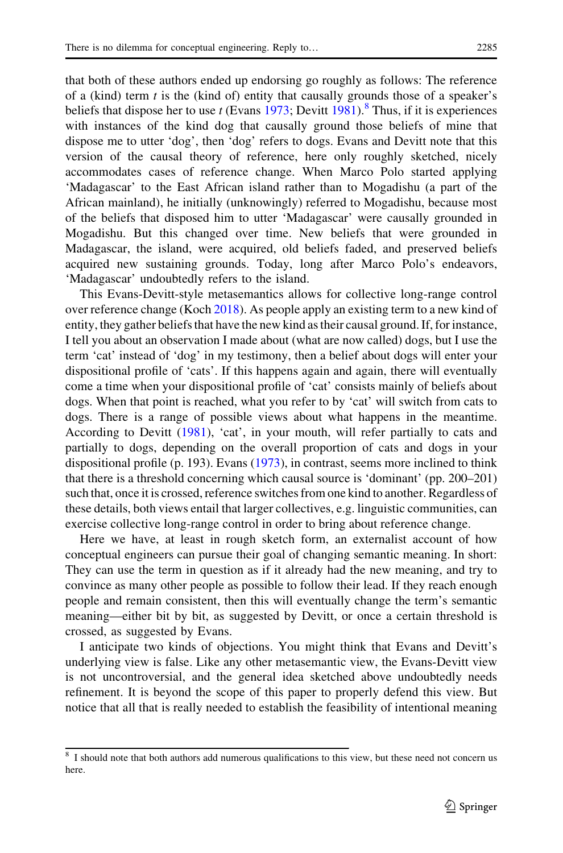that both of these authors ended up endorsing go roughly as follows: The reference of a (kind) term  $t$  is the (kind of) entity that causally grounds those of a speaker's beliefs that dispose her to use  $t$  (Evans [1973](#page-12-0); Devitt [1981\)](#page-12-0).<sup>8</sup> Thus, if it is experiences with instances of the kind dog that causally ground those beliefs of mine that dispose me to utter 'dog', then 'dog' refers to dogs. Evans and Devitt note that this version of the causal theory of reference, here only roughly sketched, nicely accommodates cases of reference change. When Marco Polo started applying 'Madagascar' to the East African island rather than to Mogadishu (a part of the African mainland), he initially (unknowingly) referred to Mogadishu, because most of the beliefs that disposed him to utter 'Madagascar' were causally grounded in Mogadishu. But this changed over time. New beliefs that were grounded in Madagascar, the island, were acquired, old beliefs faded, and preserved beliefs acquired new sustaining grounds. Today, long after Marco Polo's endeavors, 'Madagascar' undoubtedly refers to the island.

This Evans-Devitt-style metasemantics allows for collective long-range control over reference change (Koch [2018](#page-12-0)). As people apply an existing term to a new kind of entity, they gather beliefs that have the new kind as their causal ground. If, for instance, I tell you about an observation I made about (what are now called) dogs, but I use the term 'cat' instead of 'dog' in my testimony, then a belief about dogs will enter your dispositional profile of 'cats'. If this happens again and again, there will eventually come a time when your dispositional profile of 'cat' consists mainly of beliefs about dogs. When that point is reached, what you refer to by 'cat' will switch from cats to dogs. There is a range of possible views about what happens in the meantime. According to Devitt [\(1981](#page-12-0)), 'cat', in your mouth, will refer partially to cats and partially to dogs, depending on the overall proportion of cats and dogs in your dispositional profile (p. 193). Evans ([1973\)](#page-12-0), in contrast, seems more inclined to think that there is a threshold concerning which causal source is 'dominant' (pp. 200–201) such that, once it is crossed, reference switches from one kind to another. Regardless of these details, both views entail that larger collectives, e.g. linguistic communities, can exercise collective long-range control in order to bring about reference change.

Here we have, at least in rough sketch form, an externalist account of how conceptual engineers can pursue their goal of changing semantic meaning. In short: They can use the term in question as if it already had the new meaning, and try to convince as many other people as possible to follow their lead. If they reach enough people and remain consistent, then this will eventually change the term's semantic meaning—either bit by bit, as suggested by Devitt, or once a certain threshold is crossed, as suggested by Evans.

I anticipate two kinds of objections. You might think that Evans and Devitt's underlying view is false. Like any other metasemantic view, the Evans-Devitt view is not uncontroversial, and the general idea sketched above undoubtedly needs refinement. It is beyond the scope of this paper to properly defend this view. But notice that all that is really needed to establish the feasibility of intentional meaning

 $8\overline{1}$  should note that both authors add numerous qualifications to this view, but these need not concern us here.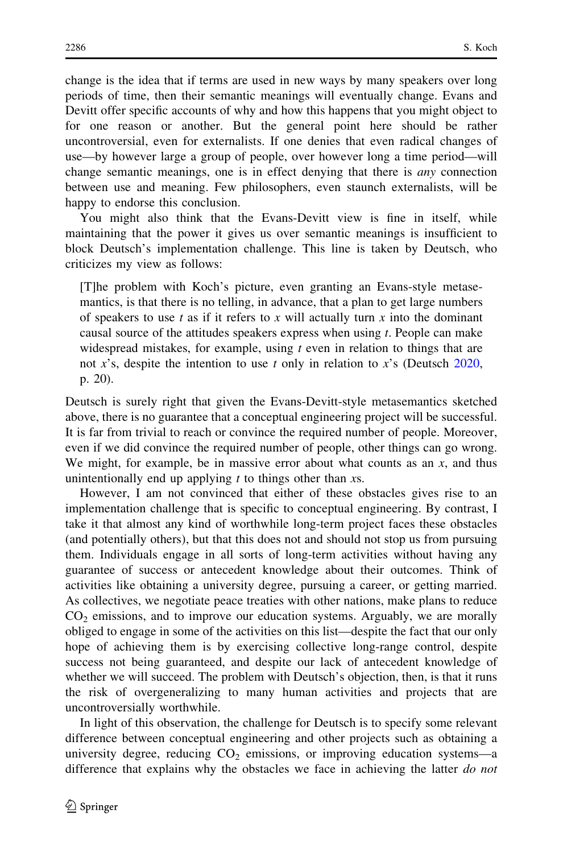change is the idea that if terms are used in new ways by many speakers over long periods of time, then their semantic meanings will eventually change. Evans and Devitt offer specific accounts of why and how this happens that you might object to for one reason or another. But the general point here should be rather uncontroversial, even for externalists. If one denies that even radical changes of use—by however large a group of people, over however long a time period—will change semantic meanings, one is in effect denying that there is any connection between use and meaning. Few philosophers, even staunch externalists, will be happy to endorse this conclusion.

You might also think that the Evans-Devitt view is fine in itself, while maintaining that the power it gives us over semantic meanings is insufficient to block Deutsch's implementation challenge. This line is taken by Deutsch, who criticizes my view as follows:

[T]he problem with Koch's picture, even granting an Evans-style metasemantics, is that there is no telling, in advance, that a plan to get large numbers of speakers to use t as if it refers to x will actually turn x into the dominant causal source of the attitudes speakers express when using t. People can make widespread mistakes, for example, using  $t$  even in relation to things that are not x's, despite the intention to use t only in relation to x's (Deutsch  $2020$ , p. 20).

Deutsch is surely right that given the Evans-Devitt-style metasemantics sketched above, there is no guarantee that a conceptual engineering project will be successful. It is far from trivial to reach or convince the required number of people. Moreover, even if we did convince the required number of people, other things can go wrong. We might, for example, be in massive error about what counts as an  $x$ , and thus unintentionally end up applying  $t$  to things other than  $xs$ .

However, I am not convinced that either of these obstacles gives rise to an implementation challenge that is specific to conceptual engineering. By contrast, I take it that almost any kind of worthwhile long-term project faces these obstacles (and potentially others), but that this does not and should not stop us from pursuing them. Individuals engage in all sorts of long-term activities without having any guarantee of success or antecedent knowledge about their outcomes. Think of activities like obtaining a university degree, pursuing a career, or getting married. As collectives, we negotiate peace treaties with other nations, make plans to reduce  $CO<sub>2</sub>$  emissions, and to improve our education systems. Arguably, we are morally obliged to engage in some of the activities on this list—despite the fact that our only hope of achieving them is by exercising collective long-range control, despite success not being guaranteed, and despite our lack of antecedent knowledge of whether we will succeed. The problem with Deutsch's objection, then, is that it runs the risk of overgeneralizing to many human activities and projects that are uncontroversially worthwhile.

In light of this observation, the challenge for Deutsch is to specify some relevant difference between conceptual engineering and other projects such as obtaining a university degree, reducing  $CO<sub>2</sub>$  emissions, or improving education systems—a difference that explains why the obstacles we face in achieving the latter do not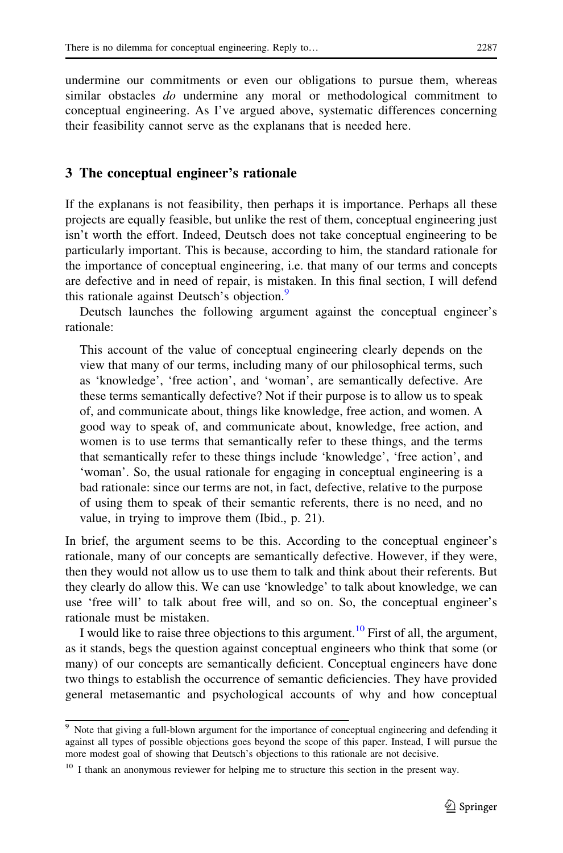undermine our commitments or even our obligations to pursue them, whereas similar obstacles do undermine any moral or methodological commitment to conceptual engineering. As I've argued above, systematic differences concerning their feasibility cannot serve as the explanans that is needed here.

#### 3 The conceptual engineer's rationale

If the explanans is not feasibility, then perhaps it is importance. Perhaps all these projects are equally feasible, but unlike the rest of them, conceptual engineering just isn't worth the effort. Indeed, Deutsch does not take conceptual engineering to be particularly important. This is because, according to him, the standard rationale for the importance of conceptual engineering, i.e. that many of our terms and concepts are defective and in need of repair, is mistaken. In this final section, I will defend this rationale against Deutsch's objection.<sup>9</sup>

Deutsch launches the following argument against the conceptual engineer's rationale:

This account of the value of conceptual engineering clearly depends on the view that many of our terms, including many of our philosophical terms, such as 'knowledge', 'free action', and 'woman', are semantically defective. Are these terms semantically defective? Not if their purpose is to allow us to speak of, and communicate about, things like knowledge, free action, and women. A good way to speak of, and communicate about, knowledge, free action, and women is to use terms that semantically refer to these things, and the terms that semantically refer to these things include 'knowledge', 'free action', and 'woman'. So, the usual rationale for engaging in conceptual engineering is a bad rationale: since our terms are not, in fact, defective, relative to the purpose of using them to speak of their semantic referents, there is no need, and no value, in trying to improve them (Ibid., p. 21).

In brief, the argument seems to be this. According to the conceptual engineer's rationale, many of our concepts are semantically defective. However, if they were, then they would not allow us to use them to talk and think about their referents. But they clearly do allow this. We can use 'knowledge' to talk about knowledge, we can use 'free will' to talk about free will, and so on. So, the conceptual engineer's rationale must be mistaken.

I would like to raise three objections to this argument.<sup>10</sup> First of all, the argument, as it stands, begs the question against conceptual engineers who think that some (or many) of our concepts are semantically deficient. Conceptual engineers have done two things to establish the occurrence of semantic deficiencies. They have provided general metasemantic and psychological accounts of why and how conceptual

<sup>&</sup>lt;sup>9</sup> Note that giving a full-blown argument for the importance of conceptual engineering and defending it against all types of possible objections goes beyond the scope of this paper. Instead, I will pursue the more modest goal of showing that Deutsch's objections to this rationale are not decisive.

<sup>&</sup>lt;sup>10</sup> I thank an anonymous reviewer for helping me to structure this section in the present way.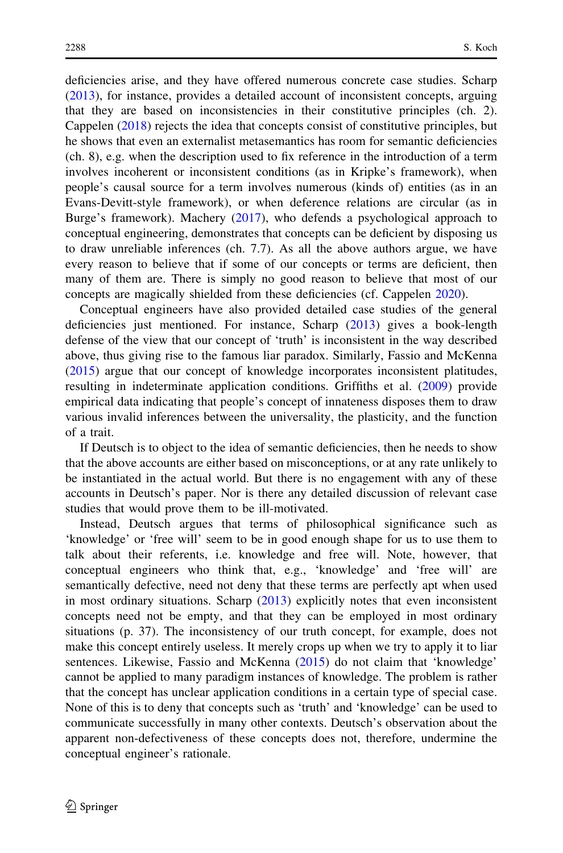deficiencies arise, and they have offered numerous concrete case studies. Scharp [\(2013](#page-12-0)), for instance, provides a detailed account of inconsistent concepts, arguing that they are based on inconsistencies in their constitutive principles (ch. 2). Cappelen ([2018\)](#page-11-0) rejects the idea that concepts consist of constitutive principles, but he shows that even an externalist metasemantics has room for semantic deficiencies (ch. 8), e.g. when the description used to fix reference in the introduction of a term involves incoherent or inconsistent conditions (as in Kripke's framework), when people's causal source for a term involves numerous (kinds of) entities (as in an Evans-Devitt-style framework), or when deference relations are circular (as in Burge's framework). Machery [\(2017](#page-12-0)), who defends a psychological approach to conceptual engineering, demonstrates that concepts can be deficient by disposing us to draw unreliable inferences (ch. 7.7). As all the above authors argue, we have every reason to believe that if some of our concepts or terms are deficient, then many of them are. There is simply no good reason to believe that most of our concepts are magically shielded from these deficiencies (cf. Cappelen [2020\)](#page-11-0).

Conceptual engineers have also provided detailed case studies of the general deficiencies just mentioned. For instance, Scharp [\(2013](#page-12-0)) gives a book-length defense of the view that our concept of 'truth' is inconsistent in the way described above, thus giving rise to the famous liar paradox. Similarly, Fassio and McKenna [\(2015](#page-12-0)) argue that our concept of knowledge incorporates inconsistent platitudes, resulting in indeterminate application conditions. Griffiths et al. ([2009\)](#page-12-0) provide empirical data indicating that people's concept of innateness disposes them to draw various invalid inferences between the universality, the plasticity, and the function of a trait.

If Deutsch is to object to the idea of semantic deficiencies, then he needs to show that the above accounts are either based on misconceptions, or at any rate unlikely to be instantiated in the actual world. But there is no engagement with any of these accounts in Deutsch's paper. Nor is there any detailed discussion of relevant case studies that would prove them to be ill-motivated.

Instead, Deutsch argues that terms of philosophical significance such as 'knowledge' or 'free will' seem to be in good enough shape for us to use them to talk about their referents, i.e. knowledge and free will. Note, however, that conceptual engineers who think that, e.g., 'knowledge' and 'free will' are semantically defective, need not deny that these terms are perfectly apt when used in most ordinary situations. Scharp [\(2013](#page-12-0)) explicitly notes that even inconsistent concepts need not be empty, and that they can be employed in most ordinary situations (p. 37). The inconsistency of our truth concept, for example, does not make this concept entirely useless. It merely crops up when we try to apply it to liar sentences. Likewise, Fassio and McKenna ([2015\)](#page-12-0) do not claim that 'knowledge' cannot be applied to many paradigm instances of knowledge. The problem is rather that the concept has unclear application conditions in a certain type of special case. None of this is to deny that concepts such as 'truth' and 'knowledge' can be used to communicate successfully in many other contexts. Deutsch's observation about the apparent non-defectiveness of these concepts does not, therefore, undermine the conceptual engineer's rationale.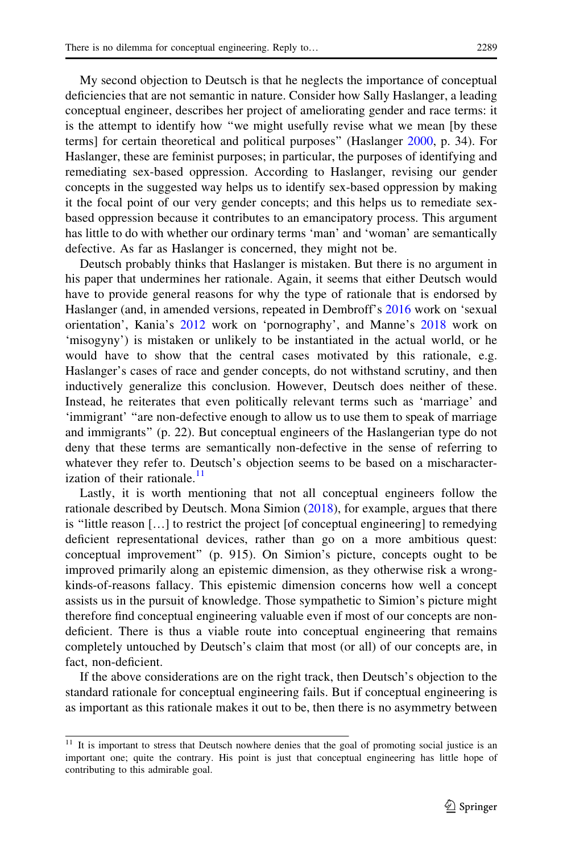My second objection to Deutsch is that he neglects the importance of conceptual deficiencies that are not semantic in nature. Consider how Sally Haslanger, a leading conceptual engineer, describes her project of ameliorating gender and race terms: it is the attempt to identify how ''we might usefully revise what we mean [by these terms] for certain theoretical and political purposes'' (Haslanger [2000](#page-12-0), p. 34). For Haslanger, these are feminist purposes; in particular, the purposes of identifying and remediating sex-based oppression. According to Haslanger, revising our gender concepts in the suggested way helps us to identify sex-based oppression by making it the focal point of our very gender concepts; and this helps us to remediate sexbased oppression because it contributes to an emancipatory process. This argument has little to do with whether our ordinary terms 'man' and 'woman' are semantically defective. As far as Haslanger is concerned, they might not be.

Deutsch probably thinks that Haslanger is mistaken. But there is no argument in his paper that undermines her rationale. Again, it seems that either Deutsch would have to provide general reasons for why the type of rationale that is endorsed by Haslanger (and, in amended versions, repeated in Dembroff's [2016](#page-11-0) work on 'sexual orientation', Kania's [2012](#page-12-0) work on 'pornography', and Manne's [2018](#page-12-0) work on 'misogyny') is mistaken or unlikely to be instantiated in the actual world, or he would have to show that the central cases motivated by this rationale, e.g. Haslanger's cases of race and gender concepts, do not withstand scrutiny, and then inductively generalize this conclusion. However, Deutsch does neither of these. Instead, he reiterates that even politically relevant terms such as 'marriage' and 'immigrant' ''are non-defective enough to allow us to use them to speak of marriage and immigrants'' (p. 22). But conceptual engineers of the Haslangerian type do not deny that these terms are semantically non-defective in the sense of referring to whatever they refer to. Deutsch's objection seems to be based on a mischaracterization of their rationale. $\frac{11}{11}$ 

Lastly, it is worth mentioning that not all conceptual engineers follow the rationale described by Deutsch. Mona Simion [\(2018](#page-12-0)), for example, argues that there is ''little reason […] to restrict the project [of conceptual engineering] to remedying deficient representational devices, rather than go on a more ambitious quest: conceptual improvement'' (p. 915). On Simion's picture, concepts ought to be improved primarily along an epistemic dimension, as they otherwise risk a wrongkinds-of-reasons fallacy. This epistemic dimension concerns how well a concept assists us in the pursuit of knowledge. Those sympathetic to Simion's picture might therefore find conceptual engineering valuable even if most of our concepts are nondeficient. There is thus a viable route into conceptual engineering that remains completely untouched by Deutsch's claim that most (or all) of our concepts are, in fact, non-deficient.

If the above considerations are on the right track, then Deutsch's objection to the standard rationale for conceptual engineering fails. But if conceptual engineering is as important as this rationale makes it out to be, then there is no asymmetry between

<sup>&</sup>lt;sup>11</sup> It is important to stress that Deutsch nowhere denies that the goal of promoting social justice is an important one; quite the contrary. His point is just that conceptual engineering has little hope of contributing to this admirable goal.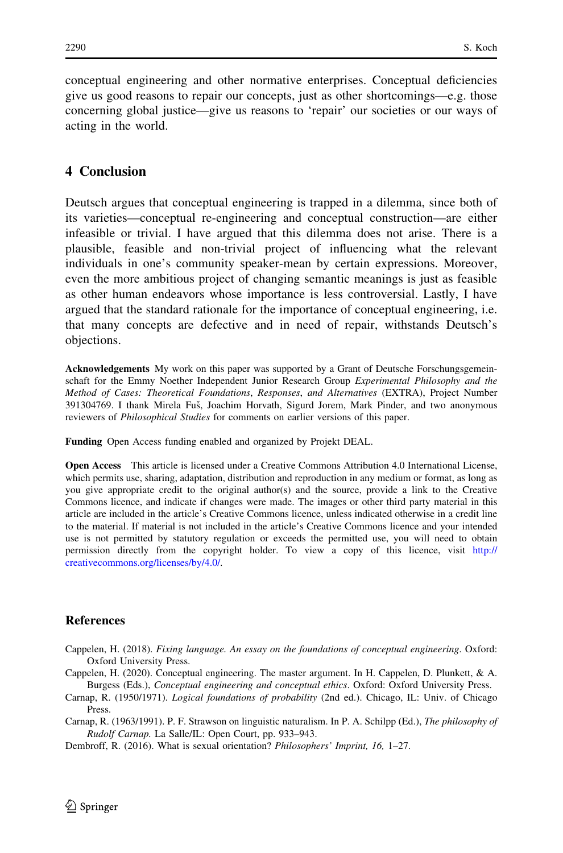<span id="page-11-0"></span>conceptual engineering and other normative enterprises. Conceptual deficiencies give us good reasons to repair our concepts, just as other shortcomings—e.g. those concerning global justice—give us reasons to 'repair' our societies or our ways of acting in the world.

### 4 Conclusion

Deutsch argues that conceptual engineering is trapped in a dilemma, since both of its varieties—conceptual re-engineering and conceptual construction—are either infeasible or trivial. I have argued that this dilemma does not arise. There is a plausible, feasible and non-trivial project of influencing what the relevant individuals in one's community speaker-mean by certain expressions. Moreover, even the more ambitious project of changing semantic meanings is just as feasible as other human endeavors whose importance is less controversial. Lastly, I have argued that the standard rationale for the importance of conceptual engineering, i.e. that many concepts are defective and in need of repair, withstands Deutsch's objections.

Acknowledgements My work on this paper was supported by a Grant of Deutsche Forschungsgemeinschaft for the Emmy Noether Independent Junior Research Group Experimental Philosophy and the Method of Cases: Theoretical Foundations, Responses, and Alternatives (EXTRA), Project Number 391304769. I thank Mirela Fuš, Joachim Horvath, Sigurd Jorem, Mark Pinder, and two anonymous reviewers of *Philosophical Studies* for comments on earlier versions of this paper.

Funding Open Access funding enabled and organized by Projekt DEAL.

Open Access This article is licensed under a Creative Commons Attribution 4.0 International License, which permits use, sharing, adaptation, distribution and reproduction in any medium or format, as long as you give appropriate credit to the original author(s) and the source, provide a link to the Creative Commons licence, and indicate if changes were made. The images or other third party material in this article are included in the article's Creative Commons licence, unless indicated otherwise in a credit line to the material. If material is not included in the article's Creative Commons licence and your intended use is not permitted by statutory regulation or exceeds the permitted use, you will need to obtain permission directly from the copyright holder. To view a copy of this licence, visit [http://](http://creativecommons.org/licenses/by/4.0/) [creativecommons.org/licenses/by/4.0/.](http://creativecommons.org/licenses/by/4.0/)

#### **References**

- Cappelen, H. (2018). Fixing language. An essay on the foundations of conceptual engineering. Oxford: Oxford University Press.
- Cappelen, H. (2020). Conceptual engineering. The master argument. In H. Cappelen, D. Plunkett, & A. Burgess (Eds.), Conceptual engineering and conceptual ethics. Oxford: Oxford University Press.
- Carnap, R. (1950/1971). Logical foundations of probability (2nd ed.). Chicago, IL: Univ. of Chicago Press.
- Carnap, R. (1963/1991). P. F. Strawson on linguistic naturalism. In P. A. Schilpp (Ed.), The philosophy of Rudolf Carnap. La Salle/IL: Open Court, pp. 933–943.

Dembroff, R. (2016). What is sexual orientation? *Philosophers' Imprint, 16*, 1–27.